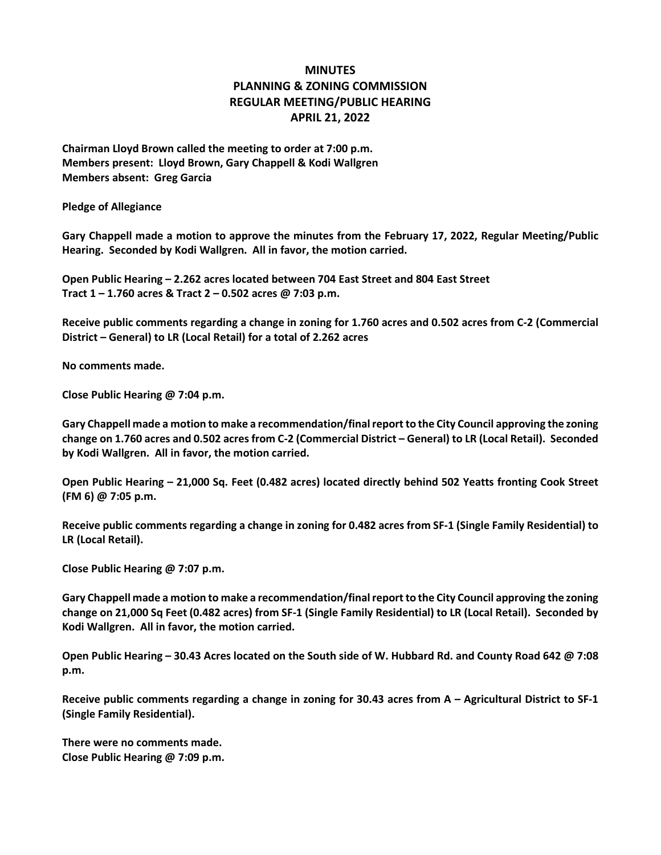## **MINUTES PLANNING & ZONING COMMISSION REGULAR MEETING/PUBLIC HEARING APRIL 21, 2022**

**Chairman Lloyd Brown called the meeting to order at 7:00 p.m. Members present: Lloyd Brown, Gary Chappell & Kodi Wallgren Members absent: Greg Garcia**

**Pledge of Allegiance**

**Gary Chappell made a motion to approve the minutes from the February 17, 2022, Regular Meeting/Public Hearing. Seconded by Kodi Wallgren. All in favor, the motion carried.**

**Open Public Hearing – 2.262 acres located between 704 East Street and 804 East Street Tract 1 – 1.760 acres & Tract 2 – 0.502 acres @ 7:03 p.m.**

**Receive public comments regarding a change in zoning for 1.760 acres and 0.502 acres from C-2 (Commercial District – General) to LR (Local Retail) for a total of 2.262 acres**

**No comments made.**

**Close Public Hearing @ 7:04 p.m.**

**Gary Chappell made a motion to make a recommendation/final report to the City Council approving the zoning change on 1.760 acres and 0.502 acres from C-2 (Commercial District – General) to LR (Local Retail). Seconded by Kodi Wallgren. All in favor, the motion carried.**

**Open Public Hearing – 21,000 Sq. Feet (0.482 acres) located directly behind 502 Yeatts fronting Cook Street (FM 6) @ 7:05 p.m.**

**Receive public comments regarding a change in zoning for 0.482 acres from SF-1 (Single Family Residential) to LR (Local Retail).**

**Close Public Hearing @ 7:07 p.m.**

**Gary Chappell made a motion to make a recommendation/final report to the City Council approving the zoning change on 21,000 Sq Feet (0.482 acres) from SF-1 (Single Family Residential) to LR (Local Retail). Seconded by Kodi Wallgren. All in favor, the motion carried.**

**Open Public Hearing – 30.43 Acres located on the South side of W. Hubbard Rd. and County Road 642 @ 7:08 p.m.**

**Receive public comments regarding a change in zoning for 30.43 acres from A – Agricultural District to SF-1 (Single Family Residential).**

**There were no comments made. Close Public Hearing @ 7:09 p.m.**